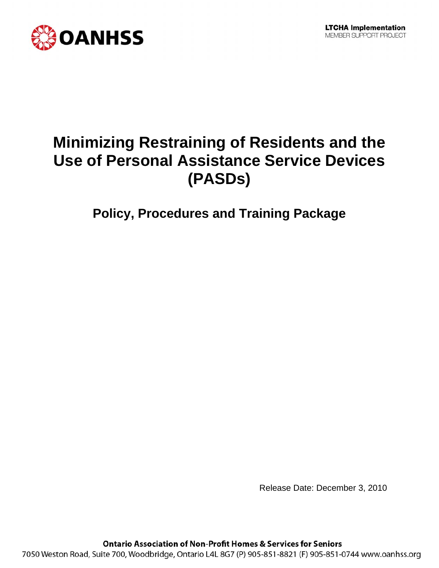

# **Minimizing Restraining of Residents and the Use of Personal Assistance Service Devices (PASDs)**

**Policy, Procedures and Training Package** 

Release Date: December 3, 2010

**Ontario Association of Non-Profit Homes & Services for Seniors** 

7050 Weston Road, Suite 700, Woodbridge, Ontario L4L 8G7 (P) 905-851-8821 (F) 905-851-0744 www.oanhss.org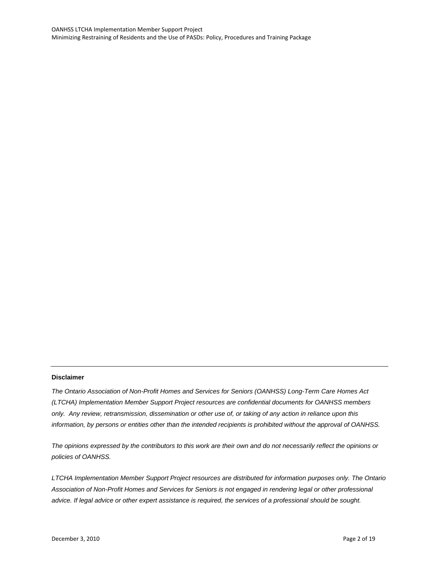#### **Disclaimer**

*The Ontario Association of Non-Profit Homes and Services for Seniors (OANHSS) Long-Term Care Homes Act (LTCHA) Implementation Member Support Project resources are confidential documents for OANHSS members only. Any review, retransmission, dissemination or other use of, or taking of any action in reliance upon this information, by persons or entities other than the intended recipients is prohibited without the approval of OANHSS.*

*The opinions expressed by the contributors to this work are their own and do not necessarily reflect the opinions or policies of OANHSS.*

*LTCHA Implementation Member Support Project resources are distributed for information purposes only. The Ontario Association of Non-Profit Homes and Services for Seniors is not engaged in rendering legal or other professional advice. If legal advice or other expert assistance is required, the services of a professional should be sought.*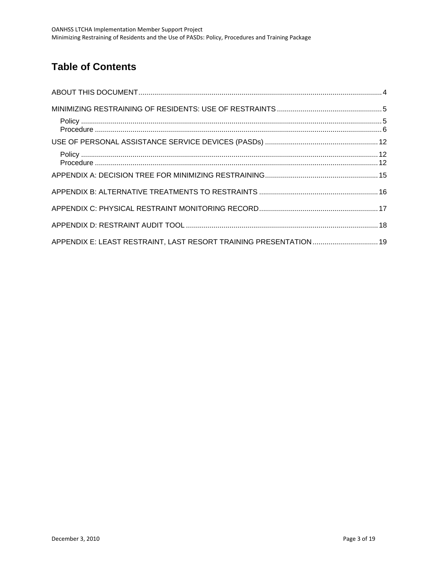## **Table of Contents**

| APPENDIX E: LEAST RESTRAINT, LAST RESORT TRAINING PRESENTATION 19 |  |
|-------------------------------------------------------------------|--|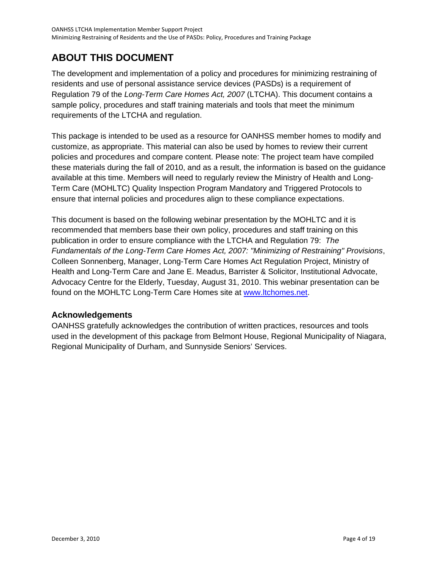## <span id="page-3-0"></span>**ABOUT THIS DOCUMENT**

The development and implementation of a policy and procedures for minimizing restraining of residents and use of personal assistance service devices (PASDs) is a requirement of Regulation 79 of the *Long-Term Care Homes Act, 2007* (LTCHA). This document contains a sample policy, procedures and staff training materials and tools that meet the minimum requirements of the LTCHA and regulation.

This package is intended to be used as a resource for OANHSS member homes to modify and customize, as appropriate. This material can also be used by homes to review their current policies and procedures and compare content. Please note: The project team have compiled these materials during the fall of 2010, and as a result, the information is based on the guidance available at this time. Members will need to regularly review the Ministry of Health and Long-Term Care (MOHLTC) Quality Inspection Program Mandatory and Triggered Protocols to ensure that internal policies and procedures align to these compliance expectations.

This document is based on the following webinar presentation by the MOHLTC and it is recommended that members base their own policy, procedures and staff training on this publication in order to ensure compliance with the LTCHA and Regulation 79: *The Fundamentals of the Long-Term Care Homes Act, 2007: "Minimizing of Restraining" Provisions*, Colleen Sonnenberg, Manager, Long-Term Care Homes Act Regulation Project, Ministry of Health and Long-Term Care and Jane E. Meadus, Barrister & Solicitor, Institutional Advocate, Advocacy Centre for the Elderly, Tuesday, August 31, 2010. This webinar presentation can be found on the MOHLTC Long-Term Care Homes site at [www.ltchomes.net](http://www.ltchomes.net/).

## **Acknowledgements**

OANHSS gratefully acknowledges the contribution of written practices, resources and tools used in the development of this package from Belmont House, Regional Municipality of Niagara, Regional Municipality of Durham, and Sunnyside Seniors' Services.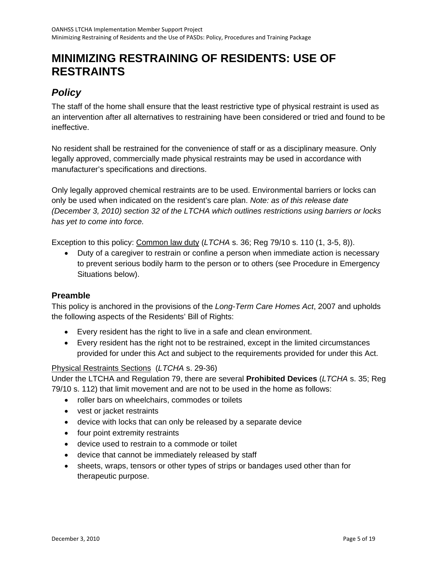## <span id="page-4-0"></span>**MINIMIZING RESTRAINING OF RESIDENTS: USE OF RESTRAINTS**

## *Policy*

The staff of the home shall ensure that the least restrictive type of physical restraint is used as an intervention after all alternatives to restraining have been considered or tried and found to be ineffective.

No resident shall be restrained for the convenience of staff or as a disciplinary measure. Only legally approved, commercially made physical restraints may be used in accordance with manufacturer's specifications and directions.

Only legally approved chemical restraints are to be used. Environmental barriers or locks can only be used when indicated on the resident's care plan. *Note: as of this release date (December 3, 2010) section 32 of the LTCHA which outlines restrictions using barriers or locks has yet to come into force.* 

Exception to this policy: Common law duty (*LTCHA* s. 36; Reg 79/10 s. 110 (1, 3-5, 8)).

• Duty of a caregiver to restrain or confine a person when immediate action is necessary to prevent serious bodily harm to the person or to others (see Procedure in Emergency Situations below).

## **Preamble**

This policy is anchored in the provisions of the *Long-Term Care Homes Act*, 2007 and upholds the following aspects of the Residents' Bill of Rights:

- Every resident has the right to live in a safe and clean environment.
- Every resident has the right not to be restrained, except in the limited circumstances provided for under this Act and subject to the requirements provided for under this Act.

### Physical Restraints Sections (*LTCHA* s. 29-36)

Under the LTCHA and Regulation 79, there are several **Prohibited Devices** (*LTCHA* s. 35; Reg 79/10 s. 112) that limit movement and are not to be used in the home as follows:

- roller bars on wheelchairs, commodes or toilets
- vest or jacket restraints
- device with locks that can only be released by a separate device
- four point extremity restraints
- device used to restrain to a commode or toilet
- device that cannot be immediately released by staff
- sheets, wraps, tensors or other types of strips or bandages used other than for therapeutic purpose.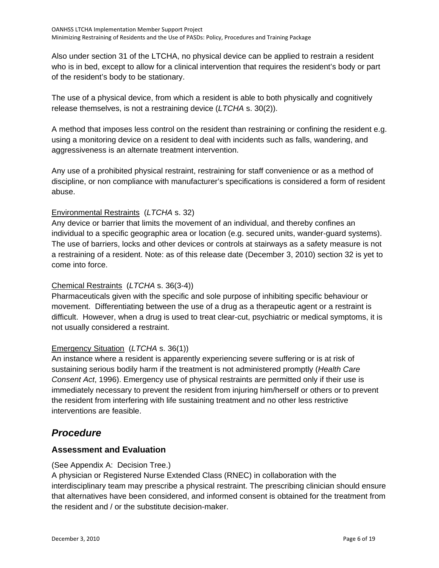<span id="page-5-0"></span>Also under section 31 of the LTCHA, no physical device can be applied to restrain a resident who is in bed, except to allow for a clinical intervention that requires the resident's body or part of the resident's body to be stationary.

The use of a physical device, from which a resident is able to both physically and cognitively release themselves, is not a restraining device (*LTCHA* s. 30(2)).

A method that imposes less control on the resident than restraining or confining the resident e.g. using a monitoring device on a resident to deal with incidents such as falls, wandering, and aggressiveness is an alternate treatment intervention.

Any use of a prohibited physical restraint, restraining for staff convenience or as a method of discipline, or non compliance with manufacturer's specifications is considered a form of resident abuse.

### Environmental Restraints (*LTCHA* s. 32)

Any device or barrier that limits the movement of an individual, and thereby confines an individual to a specific geographic area or location (e.g. secured units, wander-guard systems). The use of barriers, locks and other devices or controls at stairways as a safety measure is not a restraining of a resident. Note: as of this release date (December 3, 2010) section 32 is yet to come into force.

### Chemical Restraints (*LTCHA* s. 36(3-4))

Pharmaceuticals given with the specific and sole purpose of inhibiting specific behaviour or movement. Differentiating between the use of a drug as a therapeutic agent or a restraint is difficult. However, when a drug is used to treat clear-cut, psychiatric or medical symptoms, it is not usually considered a restraint.

### Emergency Situation (*LTCHA* s. 36(1))

An instance where a resident is apparently experiencing severe suffering or is at risk of sustaining serious bodily harm if the treatment is not administered promptly (*Health Care Consent Act*, 1996). Emergency use of physical restraints are permitted only if their use is immediately necessary to prevent the resident from injuring him/herself or others or to prevent the resident from interfering with life sustaining treatment and no other less restrictive interventions are feasible.

## *Procedure*

## **Assessment and Evaluation**

### (See Appendix A: Decision Tree.)

A physician or Registered Nurse Extended Class (RNEC) in collaboration with the interdisciplinary team may prescribe a physical restraint. The prescribing clinician should ensure that alternatives have been considered, and informed consent is obtained for the treatment from the resident and / or the substitute decision-maker.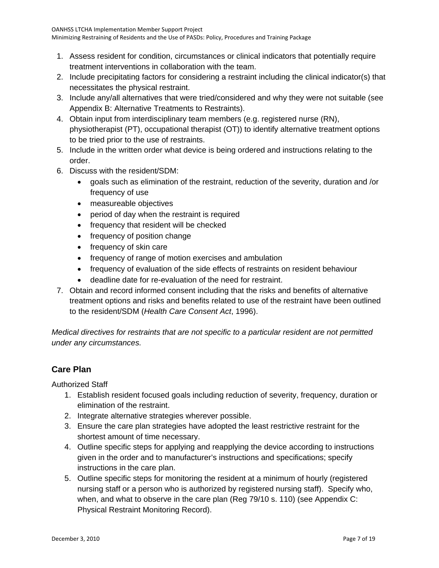- 1. Assess resident for condition, circumstances or clinical indicators that potentially require treatment interventions in collaboration with the team.
- 2. Include precipitating factors for considering a restraint including the clinical indicator(s) that necessitates the physical restraint.
- 3. Include any/all alternatives that were tried/considered and why they were not suitable (see Appendix B: Alternative Treatments to Restraints).
- 4. Obtain input from interdisciplinary team members (e.g. registered nurse (RN), physiotherapist (PT), occupational therapist (OT)) to identify alternative treatment options to be tried prior to the use of restraints.
- 5. Include in the written order what device is being ordered and instructions relating to the order.
- 6. Discuss with the resident/SDM:
	- goals such as elimination of the restraint, reduction of the severity, duration and /or frequency of use
	- measureable objectives
	- period of day when the restraint is required
	- frequency that resident will be checked
	- frequency of position change
	- frequency of skin care
	- frequency of range of motion exercises and ambulation
	- frequency of evaluation of the side effects of restraints on resident behaviour
	- deadline date for re-evaluation of the need for restraint.
- 7. Obtain and record informed consent including that the risks and benefits of alternative treatment options and risks and benefits related to use of the restraint have been outlined to the resident/SDM (*Health Care Consent Act*, 1996).

*Medical directives for restraints that are not specific to a particular resident are not permitted under any circumstances.* 

## **Care Plan**

Authorized Staff

- 1. Establish resident focused goals including reduction of severity, frequency, duration or elimination of the restraint.
- 2. Integrate alternative strategies wherever possible.
- 3. Ensure the care plan strategies have adopted the least restrictive restraint for the shortest amount of time necessary.
- 4. Outline specific steps for applying and reapplying the device according to instructions given in the order and to manufacturer's instructions and specifications; specify instructions in the care plan.
- 5. Outline specific steps for monitoring the resident at a minimum of hourly (registered nursing staff or a person who is authorized by registered nursing staff). Specify who, when, and what to observe in the care plan (Reg 79/10 s. 110) (see Appendix C: Physical Restraint Monitoring Record).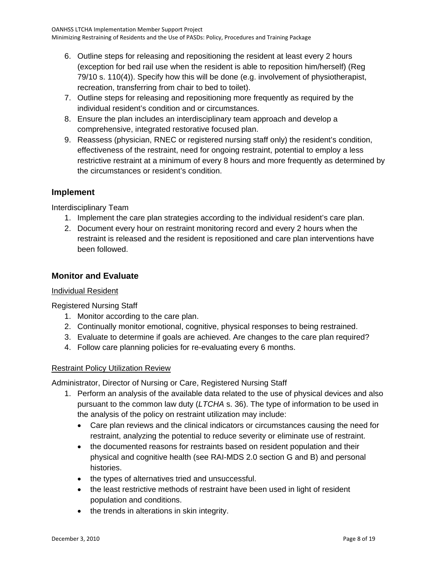- 6. Outline steps for releasing and repositioning the resident at least every 2 hours (exception for bed rail use when the resident is able to reposition him/herself) (Reg 79/10 s. 110(4)). Specify how this will be done (e.g. involvement of physiotherapist, recreation, transferring from chair to bed to toilet).
- 7. Outline steps for releasing and repositioning more frequently as required by the individual resident's condition and or circumstances.
- 8. Ensure the plan includes an interdisciplinary team approach and develop a comprehensive, integrated restorative focused plan.
- 9. Reassess (physician, RNEC or registered nursing staff only) the resident's condition, effectiveness of the restraint, need for ongoing restraint, potential to employ a less restrictive restraint at a minimum of every 8 hours and more frequently as determined by the circumstances or resident's condition.

## **Implement**

Interdisciplinary Team

- 1. Implement the care plan strategies according to the individual resident's care plan.
- 2. Document every hour on restraint monitoring record and every 2 hours when the restraint is released and the resident is repositioned and care plan interventions have been followed.

## **Monitor and Evaluate**

### Individual Resident

Registered Nursing Staff

- 1. Monitor according to the care plan.
- 2. Continually monitor emotional, cognitive, physical responses to being restrained.
- 3. Evaluate to determine if goals are achieved. Are changes to the care plan required?
- 4. Follow care planning policies for re-evaluating every 6 months.

### Restraint Policy Utilization Review

Administrator, Director of Nursing or Care, Registered Nursing Staff

- 1. Perform an analysis of the available data related to the use of physical devices and also pursuant to the common law duty (*LTCHA* s. 36). The type of information to be used in the analysis of the policy on restraint utilization may include:
	- Care plan reviews and the clinical indicators or circumstances causing the need for restraint, analyzing the potential to reduce severity or eliminate use of restraint.
	- the documented reasons for restraints based on resident population and their physical and cognitive health (see RAI-MDS 2.0 section G and B) and personal histories.
	- the types of alternatives tried and unsuccessful.
	- the least restrictive methods of restraint have been used in light of resident population and conditions.
	- the trends in alterations in skin integrity.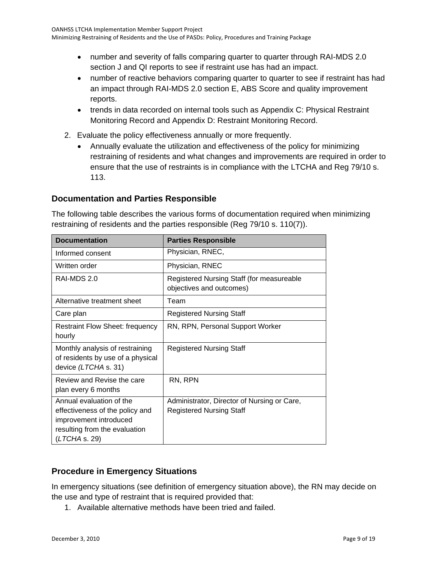- number and severity of falls comparing quarter to quarter through RAI-MDS 2.0 section J and QI reports to see if restraint use has had an impact.
- number of reactive behaviors comparing quarter to quarter to see if restraint has had an impact through RAI-MDS 2.0 section E, ABS Score and quality improvement reports.
- trends in data recorded on internal tools such as Appendix C: Physical Restraint Monitoring Record and Appendix D: Restraint Monitoring Record.
- 2. Evaluate the policy effectiveness annually or more frequently.
	- Annually evaluate the utilization and effectiveness of the policy for minimizing restraining of residents and what changes and improvements are required in order to ensure that the use of restraints is in compliance with the LTCHA and Reg 79/10 s. 113.

## **Documentation and Parties Responsible**

The following table describes the various forms of documentation required when minimizing restraining of residents and the parties responsible (Reg 79/10 s. 110(7)).

| <b>Documentation</b>                                                                                                                    | <b>Parties Responsible</b>                                                     |
|-----------------------------------------------------------------------------------------------------------------------------------------|--------------------------------------------------------------------------------|
| Informed consent                                                                                                                        | Physician, RNEC,                                                               |
| Written order                                                                                                                           | Physician, RNEC                                                                |
| RAI-MDS 2.0                                                                                                                             | Registered Nursing Staff (for measureable<br>objectives and outcomes)          |
| Alternative treatment sheet                                                                                                             | Team                                                                           |
| Care plan                                                                                                                               | <b>Registered Nursing Staff</b>                                                |
| <b>Restraint Flow Sheet: frequency</b><br>hourly                                                                                        | RN, RPN, Personal Support Worker                                               |
| Monthly analysis of restraining<br>of residents by use of a physical<br>device (LTCHA s. 31)                                            | <b>Registered Nursing Staff</b>                                                |
| Review and Revise the care<br>plan every 6 months                                                                                       | RN, RPN                                                                        |
| Annual evaluation of the<br>effectiveness of the policy and<br>improvement introduced<br>resulting from the evaluation<br>(LTCHA s. 29) | Administrator, Director of Nursing or Care,<br><b>Registered Nursing Staff</b> |

## **Procedure in Emergency Situations**

In emergency situations (see definition of emergency situation above), the RN may decide on the use and type of restraint that is required provided that:

1. Available alternative methods have been tried and failed.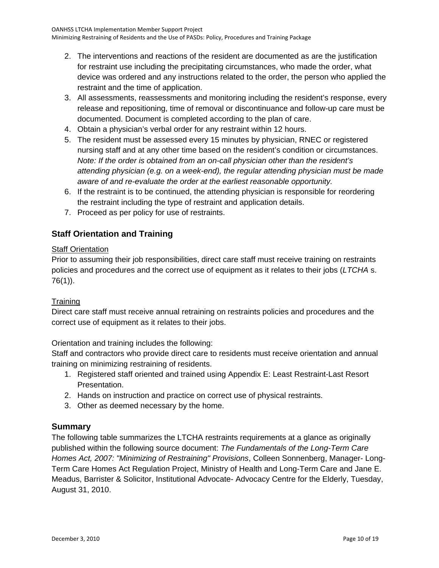- 2. The interventions and reactions of the resident are documented as are the justification for restraint use including the precipitating circumstances, who made the order, what device was ordered and any instructions related to the order, the person who applied the restraint and the time of application.
- 3. All assessments, reassessments and monitoring including the resident's response, every release and repositioning, time of removal or discontinuance and follow-up care must be documented. Document is completed according to the plan of care.
- 4. Obtain a physician's verbal order for any restraint within 12 hours.
- 5. The resident must be assessed every 15 minutes by physician, RNEC or registered nursing staff and at any other time based on the resident's condition or circumstances. *Note: If the order is obtained from an on-call physician other than the resident's attending physician (e.g. on a week-end), the regular attending physician must be made aware of and re-evaluate the order at the earliest reasonable opportunity.*
- 6. If the restraint is to be continued, the attending physician is responsible for reordering the restraint including the type of restraint and application details.
- 7. Proceed as per policy for use of restraints.

## **Staff Orientation and Training**

## Staff Orientation

Prior to assuming their job responsibilities, direct care staff must receive training on restraints policies and procedures and the correct use of equipment as it relates to their jobs (*LTCHA* s. 76(1)).

## **Training**

Direct care staff must receive annual retraining on restraints policies and procedures and the correct use of equipment as it relates to their jobs.

Orientation and training includes the following:

Staff and contractors who provide direct care to residents must receive orientation and annual training on minimizing restraining of residents.

- 1. Registered staff oriented and trained using Appendix E: Least Restraint-Last Resort Presentation.
- 2. Hands on instruction and practice on correct use of physical restraints.
- 3. Other as deemed necessary by the home.

## **Summary**

The following table summarizes the LTCHA restraints requirements at a glance as originally published within the following source document: *The Fundamentals of the Long-Term Care Homes Act, 2007: "Minimizing of Restraining" Provisions*, Colleen Sonnenberg, Manager- Long-Term Care Homes Act Regulation Project, Ministry of Health and Long-Term Care and Jane E. Meadus, Barrister & Solicitor, Institutional Advocate- Advocacy Centre for the Elderly, Tuesday, August 31, 2010.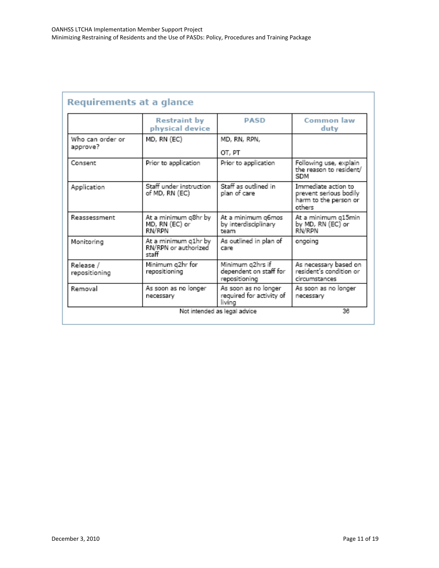|                                                                     | <b>Restraint by</b><br>physical device           | <b>PASD</b>                                                 | Common law<br>duty                                                               |  |
|---------------------------------------------------------------------|--------------------------------------------------|-------------------------------------------------------------|----------------------------------------------------------------------------------|--|
| Who can order or<br>MD, RN (EC)<br>approve?                         |                                                  | MD, RN, RPN,<br>OT, PT                                      |                                                                                  |  |
| Prior to application<br>Consent                                     |                                                  | Prior to application                                        | Following use, explain<br>the reason to resident/<br>SDM                         |  |
| Staff under instruction<br>Application<br>of MD, RN (EC)            |                                                  | Staff as outlined in<br>plan of care                        | Immediate action to<br>prevent serious bodily<br>harm to the person or<br>others |  |
| Reassessment                                                        | At a minimum q8hr by<br>MD, RN (EC) or<br>RN/RPN |                                                             | At a minimum g15min<br>by MD, RN (EC) or<br>RN/RPN                               |  |
| At a minimum q1hr by<br>Monitoring<br>RN/RPN or authorized<br>staff |                                                  | As outlined in plan of<br>care                              | ongoing                                                                          |  |
| Minimum q2hr for<br>Release /<br>repositioning<br>repositioning     |                                                  | Minimum g2hrs if<br>dependent on staff for<br>repositioning | As necessary based on<br>resident's condition or<br>circumstances                |  |
| Removal                                                             | As soon as no longer<br>necessary                | As soon as no longer<br>required for activity of<br>living  | As soon as no longer<br>necessary                                                |  |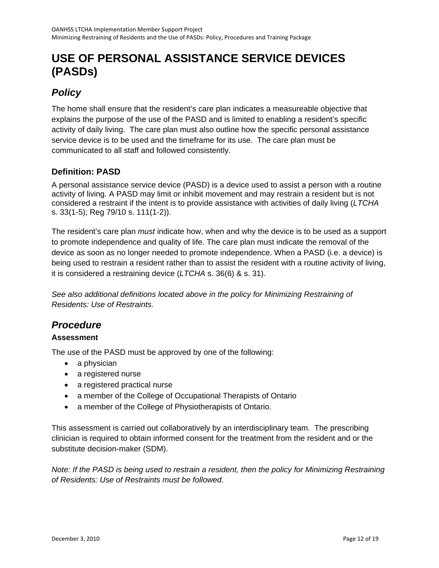## <span id="page-11-0"></span>**USE OF PERSONAL ASSISTANCE SERVICE DEVICES (PASDs)**

## *Policy*

The home shall ensure that the resident's care plan indicates a measureable objective that explains the purpose of the use of the PASD and is limited to enabling a resident's specific activity of daily living. The care plan must also outline how the specific personal assistance service device is to be used and the timeframe for its use. The care plan must be communicated to all staff and followed consistently.

## **Definition: PASD**

A personal assistance service device (PASD) is a device used to assist a person with a routine activity of living. A PASD may limit or inhibit movement and may restrain a resident but is not considered a restraint if the intent is to provide assistance with activities of daily living (*LTCHA* s. 33(1-5); Reg 79/10 s. 111(1-2)).

The resident's care plan *must* indicate how, when and why the device is to be used as a support to promote independence and quality of life. The care plan must indicate the removal of the device as soon as no longer needed to promote independence. When a PASD (i.e. a device) is being used to restrain a resident rather than to assist the resident with a routine activity of living, it is considered a restraining device (*LTCHA* s. 36(6) & s. 31).

*See also additional definitions located above in the policy for Minimizing Restraining of Residents: Use of Restraints.* 

## *Procedure*

## **Assessment**

The use of the PASD must be approved by one of the following:

- a physician
- a registered nurse
- a registered practical nurse
- a member of the College of Occupational Therapists of Ontario
- a member of the College of Physiotherapists of Ontario.

This assessment is carried out collaboratively by an interdisciplinary team. The prescribing clinician is required to obtain informed consent for the treatment from the resident and or the substitute decision-maker (SDM).

*Note: If the PASD is being used to restrain a resident, then the policy for Minimizing Restraining of Residents: Use of Restraints must be followed.*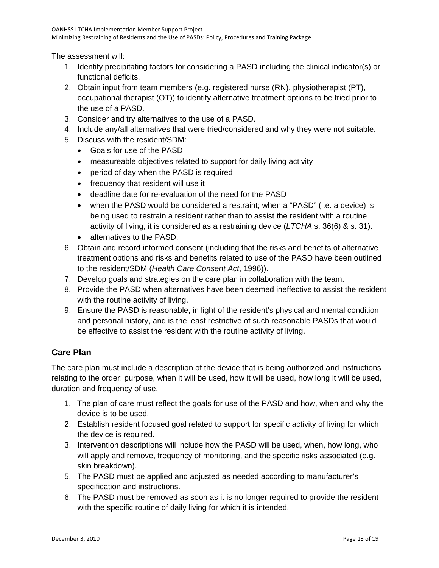The assessment will:

- 1. Identify precipitating factors for considering a PASD including the clinical indicator(s) or functional deficits.
- 2. Obtain input from team members (e.g. registered nurse (RN), physiotherapist (PT), occupational therapist (OT)) to identify alternative treatment options to be tried prior to the use of a PASD.
- 3. Consider and try alternatives to the use of a PASD.
- 4. Include any/all alternatives that were tried/considered and why they were not suitable.
- 5. Discuss with the resident/SDM:
	- Goals for use of the PASD
	- measureable objectives related to support for daily living activity
	- period of day when the PASD is required
	- frequency that resident will use it
	- deadline date for re-evaluation of the need for the PASD
	- when the PASD would be considered a restraint; when a "PASD" (i.e. a device) is being used to restrain a resident rather than to assist the resident with a routine activity of living, it is considered as a restraining device (*LTCHA* s. 36(6) & s. 31).
	- alternatives to the PASD.
- 6. Obtain and record informed consent (including that the risks and benefits of alternative treatment options and risks and benefits related to use of the PASD have been outlined to the resident/SDM (*Health Care Consent Act*, 1996)).
- 7. Develop goals and strategies on the care plan in collaboration with the team.
- 8. Provide the PASD when alternatives have been deemed ineffective to assist the resident with the routine activity of living.
- 9. Ensure the PASD is reasonable, in light of the resident's physical and mental condition and personal history, and is the least restrictive of such reasonable PASDs that would be effective to assist the resident with the routine activity of living.

## **Care Plan**

The care plan must include a description of the device that is being authorized and instructions relating to the order: purpose, when it will be used, how it will be used, how long it will be used, duration and frequency of use.

- 1. The plan of care must reflect the goals for use of the PASD and how, when and why the device is to be used.
- 2. Establish resident focused goal related to support for specific activity of living for which the device is required.
- 3. Intervention descriptions will include how the PASD will be used, when, how long, who will apply and remove, frequency of monitoring, and the specific risks associated (e.g. skin breakdown).
- 5. The PASD must be applied and adjusted as needed according to manufacturer's specification and instructions.
- 6. The PASD must be removed as soon as it is no longer required to provide the resident with the specific routine of daily living for which it is intended.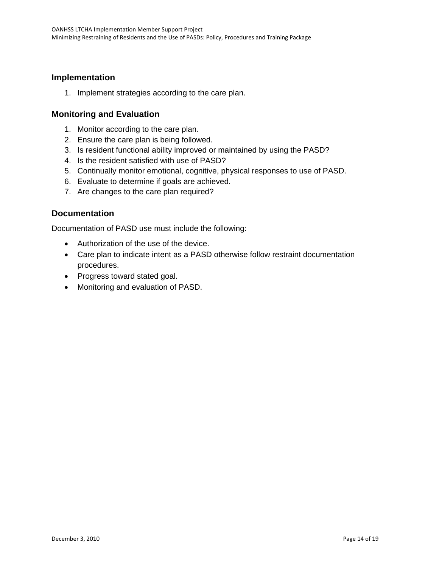### **Implementation**

1. Implement strategies according to the care plan.

### **Monitoring and Evaluation**

- 1. Monitor according to the care plan.
- 2. Ensure the care plan is being followed.
- 3. Is resident functional ability improved or maintained by using the PASD?
- 4. Is the resident satisfied with use of PASD?
- 5. Continually monitor emotional, cognitive, physical responses to use of PASD.
- 6. Evaluate to determine if goals are achieved.
- 7. Are changes to the care plan required?

### **Documentation**

Documentation of PASD use must include the following:

- Authorization of the use of the device.
- Care plan to indicate intent as a PASD otherwise follow restraint documentation procedures.
- Progress toward stated goal.
- Monitoring and evaluation of PASD.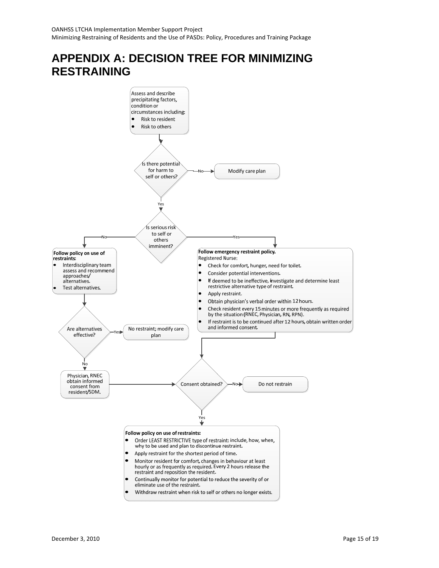## <span id="page-14-0"></span>**APPENDIX A: DECISION TREE FOR MINIMIZING RESTRAINING**

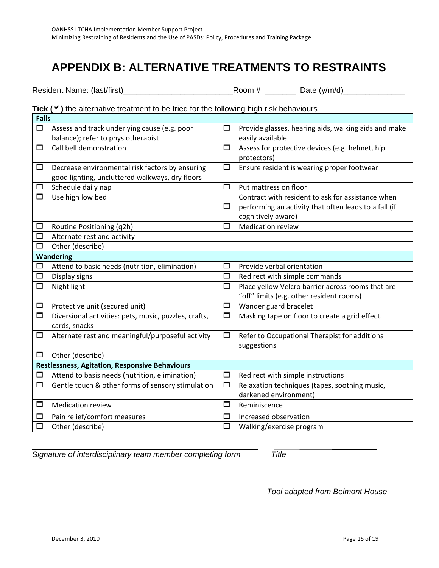## <span id="page-15-0"></span>**APPENDIX B: ALTERNATIVE TREATMENTS TO RESTRAINTS**

Resident Name: (last/first)\_\_\_\_\_\_\_\_\_\_\_\_\_\_\_\_\_\_\_\_\_\_\_\_\_Room # \_\_\_\_\_\_\_ Date (y/m/d)\_\_\_\_\_\_\_\_\_\_\_\_\_\_

### Tick ( $\checkmark$ ) the alternative treatment to be tried for the following high risk behaviours

|                  | <b>Falls</b>                                          |        |                                                       |  |  |  |
|------------------|-------------------------------------------------------|--------|-------------------------------------------------------|--|--|--|
| $\Box$           | Assess and track underlying cause (e.g. poor          | □      | Provide glasses, hearing aids, walking aids and make  |  |  |  |
|                  | balance); refer to physiotherapist                    |        | easily available                                      |  |  |  |
| □                | Call bell demonstration                               | $\Box$ | Assess for protective devices (e.g. helmet, hip       |  |  |  |
|                  |                                                       |        | protectors)                                           |  |  |  |
| □                | Decrease environmental risk factors by ensuring       | $\Box$ | Ensure resident is wearing proper footwear            |  |  |  |
|                  | good lighting, uncluttered walkways, dry floors       |        |                                                       |  |  |  |
| □                | Schedule daily nap                                    | $\Box$ | Put mattress on floor                                 |  |  |  |
| □                | Use high low bed                                      |        | Contract with resident to ask for assistance when     |  |  |  |
|                  |                                                       | □      | performing an activity that often leads to a fall (if |  |  |  |
|                  |                                                       |        | cognitively aware)                                    |  |  |  |
| □                | Routine Positioning (q2h)                             | $\Box$ | <b>Medication review</b>                              |  |  |  |
| □                | Alternate rest and activity                           |        |                                                       |  |  |  |
| $\Box$           | Other (describe)                                      |        |                                                       |  |  |  |
| <b>Wandering</b> |                                                       |        |                                                       |  |  |  |
| □                | Attend to basic needs (nutrition, elimination)        | □      | Provide verbal orientation                            |  |  |  |
| $\Box$           | Display signs                                         | $\Box$ | Redirect with simple commands                         |  |  |  |
| □                | Night light                                           | $\Box$ | Place yellow Velcro barrier across rooms that are     |  |  |  |
|                  |                                                       |        | "off" limits (e.g. other resident rooms)              |  |  |  |
| □                | Protective unit (secured unit)                        | $\Box$ | Wander guard bracelet                                 |  |  |  |
| $\Box$           | Diversional activities: pets, music, puzzles, crafts, | $\Box$ | Masking tape on floor to create a grid effect.        |  |  |  |
|                  | cards, snacks                                         |        |                                                       |  |  |  |
| $\Box$           | Alternate rest and meaningful/purposeful activity     | $\Box$ | Refer to Occupational Therapist for additional        |  |  |  |
|                  |                                                       |        | suggestions                                           |  |  |  |
| □                | Other (describe)                                      |        |                                                       |  |  |  |
|                  | <b>Restlessness, Agitation, Responsive Behaviours</b> |        |                                                       |  |  |  |
| □                | Attend to basis needs (nutrition, elimination)        | $\Box$ | Redirect with simple instructions                     |  |  |  |
| □                | Gentle touch & other forms of sensory stimulation     | $\Box$ | Relaxation techniques (tapes, soothing music,         |  |  |  |
|                  |                                                       |        | darkened environment)                                 |  |  |  |
| □                | <b>Medication review</b>                              | $\Box$ | Reminiscence                                          |  |  |  |
| □                | Pain relief/comfort measures                          | $\Box$ | Increased observation                                 |  |  |  |
| □                | Other (describe)                                      | $\Box$ | Walking/exercise program                              |  |  |  |
|                  |                                                       |        |                                                       |  |  |  |

*Signature of interdisciplinary team member completing form Title* 

*Tool adapted from Belmont House*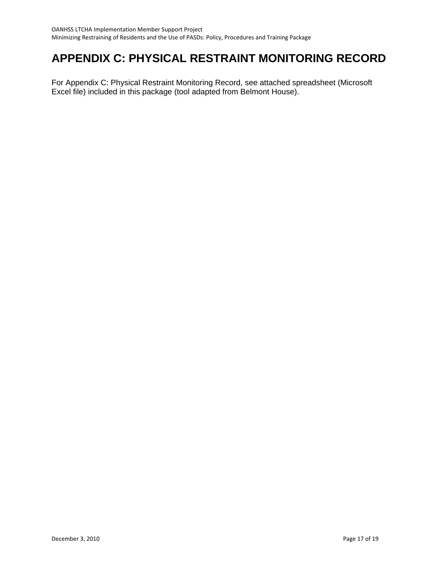## <span id="page-16-0"></span>**APPENDIX C: PHYSICAL RESTRAINT MONITORING RECORD**

For Appendix C: Physical Restraint Monitoring Record, see attached spreadsheet (Microsoft Excel file) included in this package (tool adapted from Belmont House).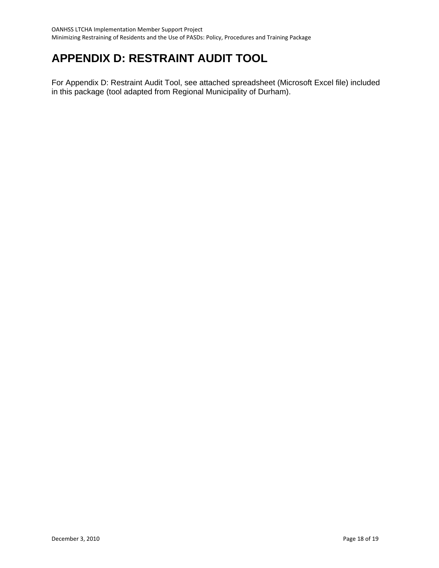## <span id="page-17-0"></span>**APPENDIX D: RESTRAINT AUDIT TOOL**

For Appendix D: Restraint Audit Tool, see attached spreadsheet (Microsoft Excel file) included in this package (tool adapted from Regional Municipality of Durham).